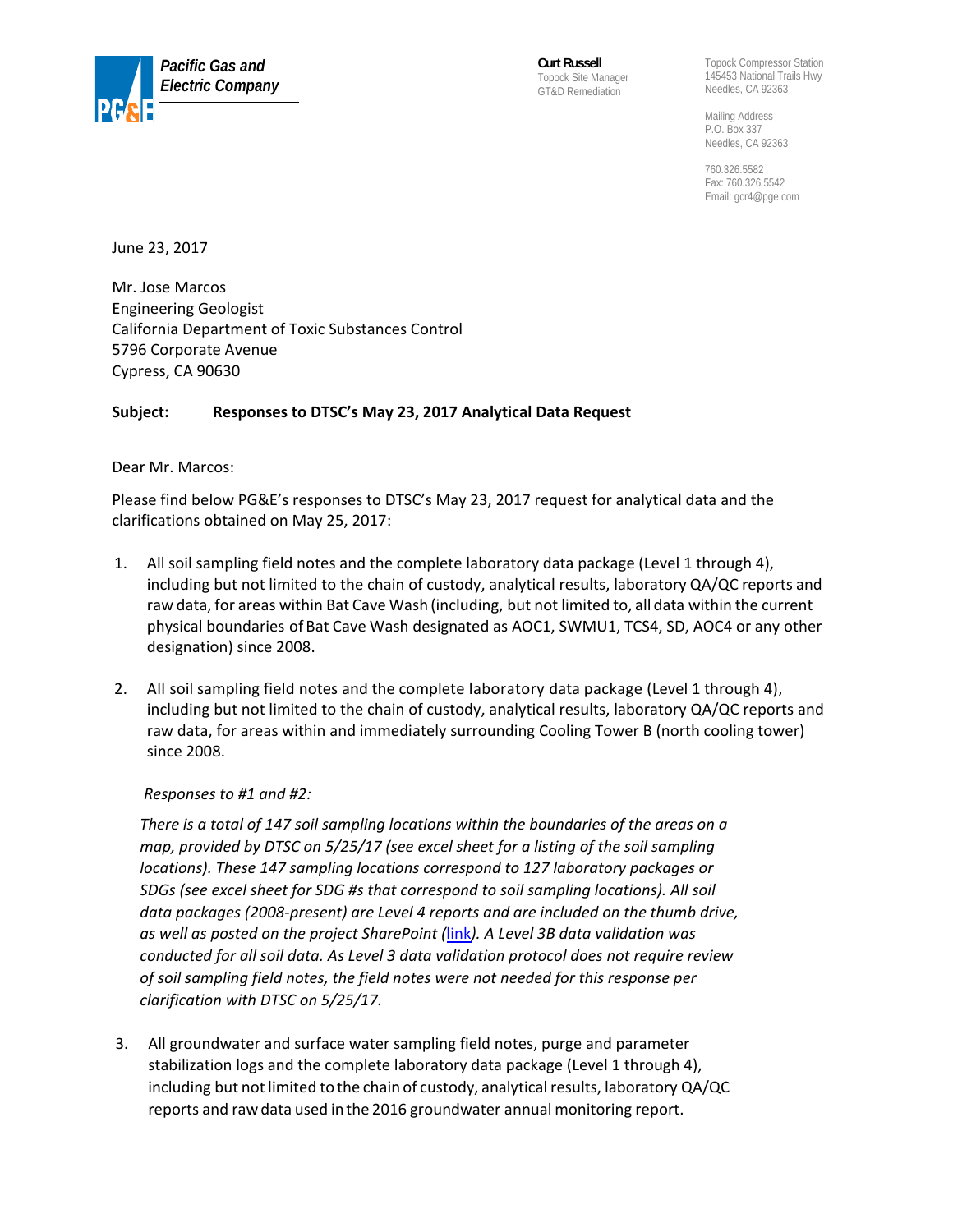

**Curt Russell** Topock Site Manager GT&D Remediation

Topock Compressor Station 145453 National Trails Hwy Needles, CA 92363

Mailing Address P.O. Box 337 Needles, CA 92363

760.326.5582 Fax: 760.326.5542 Email: gcr4@pge.com

June 23, 2017

Mr. Jose Marcos Engineering Geologist California Department of Toxic Substances Control 5796 Corporate Avenue Cypress, CA 90630

# **Subject: Responses to DTSC's May 23, 2017 Analytical Data Request**

# Dear Mr. Marcos:

Please find below PG&E's responses to DTSC's May 23, 2017 request for analytical data and the clarifications obtained on May 25, 2017:

- 1. All soil sampling field notes and the complete laboratory data package (Level 1 through 4), including but not limited to the chain of custody, analytical results, laboratory QA/QC reports and raw data, for areas within Bat Cave Wash (including, but not limited to, all data within the current physical boundaries of Bat Cave Wash designated as AOC1, SWMU1, TCS4, SD, AOC4 or any other designation) since 2008.
- 2. All soil sampling field notes and the complete laboratory data package (Level 1 through 4), including but not limited to the chain of custody, analytical results, laboratory QA/QC reports and raw data, for areas within and immediately surrounding Cooling Tower B (north cooling tower) since 2008.

# *Responses to #1 and #2:*

*There is a total of 147 soil sampling locations within the boundaries of the areas on a map, provided by DTSC on 5/25/17 (see excel sheet for a listing of the soil sampling locations). These 147 sampling locations correspond to 127 laboratory packages or SDGs (see excel sheet for SDG #s that correspond to soil sampling locations). All soil data packages (2008‐present) are Level 4 reports and are included on the thumb drive, as well as posted on the project SharePoint (*[link](https://delivery.ch2m.com/sites/topock/Topock_Program)*). A Level 3B data validation was conducted for all soil data. As Level 3 data validation protocol does not require review of soil sampling field notes, the field notes were not needed for this response per clarification with DTSC on 5/25/17.*

3. All groundwater and surface water sampling field notes, purge and parameter stabilization logs and the complete laboratory data package (Level 1 through 4), including but not limited to the chain of custody, analytical results, laboratory QA/QC reports and rawdata used inthe 2016 groundwater annual monitoring report.